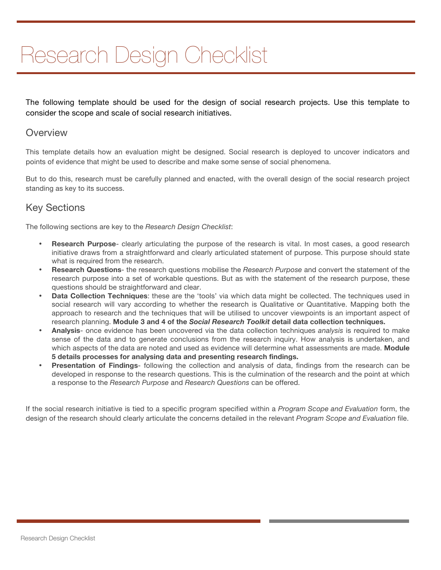# Research Design Checklist

The following template should be used for the design of social research projects. Use this template to consider the scope and scale of social research initiatives.

## **Overview**

This template details how an evaluation might be designed. Social research is deployed to uncover indicators and points of evidence that might be used to describe and make some sense of social phenomena.

But to do this, research must be carefully planned and enacted, with the overall design of the social research project standing as key to its success.

## Key Sections

The following sections are key to the *Research Design Checklist*:

- **Research Purpose** clearly articulating the purpose of the research is vital. In most cases, a good research initiative draws from a straightforward and clearly articulated statement of purpose. This purpose should state what is required from the research.
- **Research Questions** the research questions mobilise the *Research Purpose* and convert the statement of the research purpose into a set of workable questions. But as with the statement of the research purpose, these questions should be straightforward and clear.
- **Data Collection Techniques**: these are the 'tools' via which data might be collected. The techniques used in social research will vary according to whether the research is Qualitative or Quantitative. Mapping both the approach to research and the techniques that will be utilised to uncover viewpoints is an important aspect of research planning. **Module 3 and 4 of the** *Social Research Toolkit* **detail data collection techniques.**
- **Analysis** once evidence has been uncovered via the data collection techniques *analysis* is required to make sense of the data and to generate conclusions from the research inquiry. How analysis is undertaken, and which aspects of the data are noted and used as evidence will determine what assessments are made. **Module 5 details processes for analysing data and presenting research findings.**
- **Presentation of Findings** following the collection and analysis of data, findings from the research can be developed in response to the research questions. This is the culmination of the research and the point at which a response to the *Research Purpose* and *Research Questions* can be offered.

If the social research initiative is tied to a specific program specified within a *Program Scope and Evaluation* form, the design of the research should clearly articulate the concerns detailed in the relevant *Program Scope and Evaluation* file.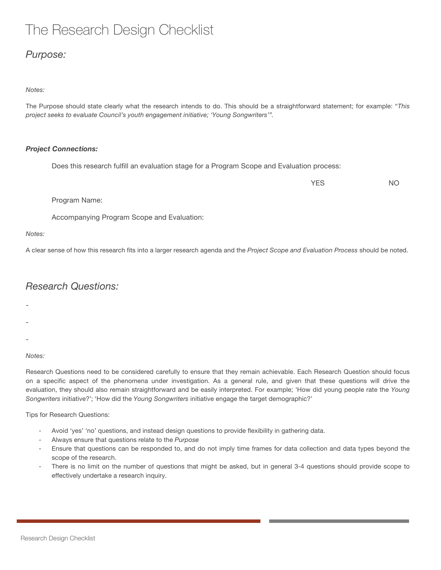## The Research Design Checklist

## *Purpose:*

#### *Notes:*

The Purpose should state clearly what the research intends to do. This should be a straightforward statement; for example: "*This project seeks to evaluate Council's youth engagement initiative; 'Young Songwriters'".* 

#### *Project Connections:*

Does this research fulfill an evaluation stage for a Program Scope and Evaluation process:

YES NO

Program Name:

Accompanying Program Scope and Evaluation:

#### *Notes:*

A clear sense of how this research fits into a larger research agenda and the *Project Scope and Evaluation Process* should be noted.

## *Research Questions:*

-

- -
- 
- -

#### *Notes:*

Research Questions need to be considered carefully to ensure that they remain achievable. Each Research Question should focus on a specific aspect of the phenomena under investigation. As a general rule, and given that these questions will drive the evaluation, they should also remain straightforward and be easily interpreted. For example; 'How did young people rate the *Young Songwriters* initiative?'; 'How did the *Young Songwriters* initiative engage the target demographic?'

Tips for Research Questions:

- Avoid 'yes' 'no' questions, and instead design questions to provide flexibility in gathering data.
- Always ensure that questions relate to the *Purpose*
- Ensure that questions can be responded to, and do not imply time frames for data collection and data types beyond the scope of the research.
- There is no limit on the number of questions that might be asked, but in general 3-4 questions should provide scope to effectively undertake a research inquiry.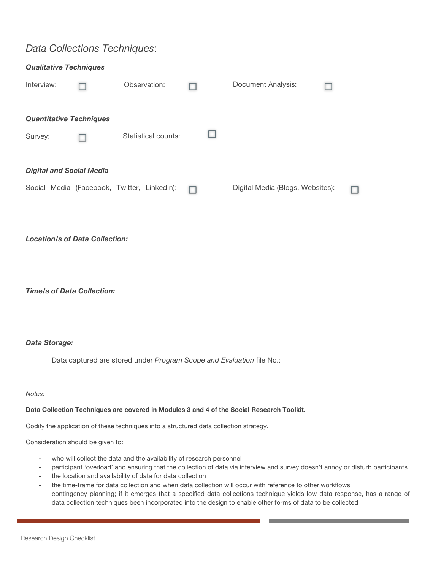## *Data Collections Techniques*:

| <b>Qualitative Techniques</b>   |  |                                             |  |  |                                  |  |  |  |  |
|---------------------------------|--|---------------------------------------------|--|--|----------------------------------|--|--|--|--|
| Interview:                      |  | Observation:                                |  |  | Document Analysis:               |  |  |  |  |
|                                 |  |                                             |  |  |                                  |  |  |  |  |
| <b>Quantitative Techniques</b>  |  |                                             |  |  |                                  |  |  |  |  |
| Survey:                         |  | Statistical counts:                         |  |  |                                  |  |  |  |  |
|                                 |  |                                             |  |  |                                  |  |  |  |  |
| <b>Digital and Social Media</b> |  |                                             |  |  |                                  |  |  |  |  |
|                                 |  | Social Media (Facebook, Twitter, LinkedIn): |  |  | Digital Media (Blogs, Websites): |  |  |  |  |
|                                 |  |                                             |  |  |                                  |  |  |  |  |

*Location/s of Data Collection:*

*Time/s of Data Collection:*

#### *Data Storage:*

Data captured are stored under *Program Scope and Evaluation* file No.:

*Notes:*

#### **Data Collection Techniques are covered in Modules 3 and 4 of the Social Research Toolkit.**

Codify the application of these techniques into a structured data collection strategy.

Consideration should be given to:

- who will collect the data and the availability of research personnel
- participant 'overload' and ensuring that the collection of data via interview and survey doesn't annoy or disturb participants
- the location and availability of data for data collection
- the time-frame for data collection and when data collection will occur with reference to other workflows
- contingency planning; if it emerges that a specified data collections technique yields low data response, has a range of data collection techniques been incorporated into the design to enable other forms of data to be collected